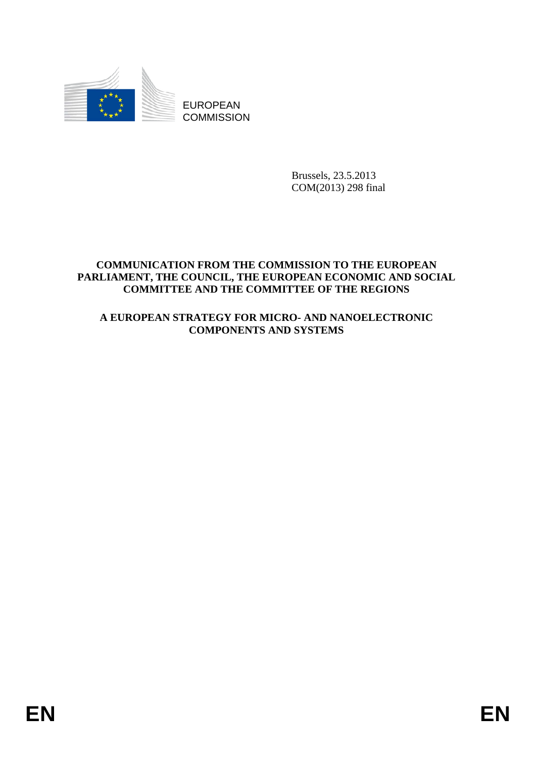

EUROPEAN **COMMISSION** 

> Brussels, 23.5.2013 COM(2013) 298 final

#### **COMMUNICATION FROM THE COMMISSION TO THE EUROPEAN PARLIAMENT, THE COUNCIL, THE EUROPEAN ECONOMIC AND SOCIAL COMMITTEE AND THE COMMITTEE OF THE REGIONS**

### **A EUROPEAN STRATEGY FOR MICRO- AND NANOELECTRONIC COMPONENTS AND SYSTEMS**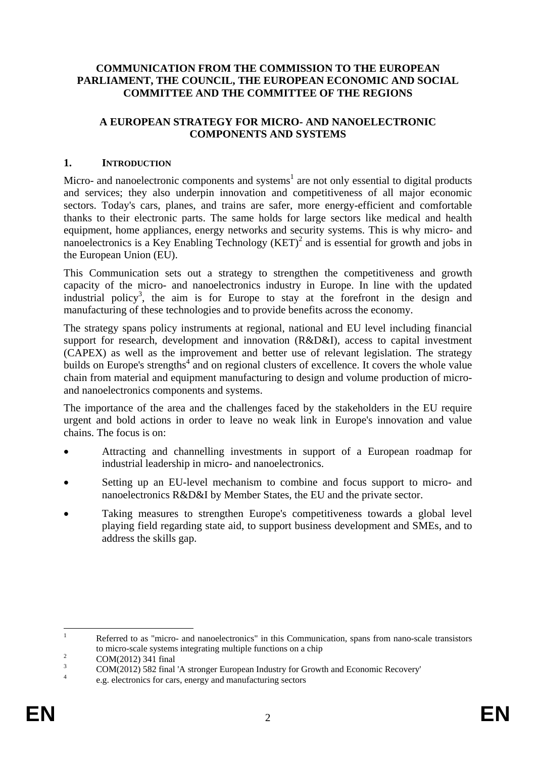#### **COMMUNICATION FROM THE COMMISSION TO THE EUROPEAN PARLIAMENT, THE COUNCIL, THE EUROPEAN ECONOMIC AND SOCIAL COMMITTEE AND THE COMMITTEE OF THE REGIONS**

#### **A EUROPEAN STRATEGY FOR MICRO- AND NANOELECTRONIC COMPONENTS AND SYSTEMS**

#### **1. INTRODUCTION**

Micro- and nanoelectronic components and systems<sup>1</sup> are not only essential to digital products and services; they also underpin innovation and competitiveness of all major economic sectors. Today's cars, planes, and trains are safer, more energy-efficient and comfortable thanks to their electronic parts. The same holds for large sectors like medical and health equipment, home appliances, energy networks and security systems. This is why micro- and nanoelectronics is a Key Enabling Technology  $(KET)^2$  and is essential for growth and jobs in the European Union (EU).

This Communication sets out a strategy to strengthen the competitiveness and growth capacity of the micro- and nanoelectronics industry in Europe. In line with the updated industrial policy<sup>3</sup>, the aim is for Europe to stay at the forefront in the design and manufacturing of these technologies and to provide benefits across the economy.

The strategy spans policy instruments at regional, national and EU level including financial support for research, development and innovation (R&D&I), access to capital investment (CAPEX) as well as the improvement and better use of relevant legislation. The strategy builds on Europe's strengths<sup>4</sup> and on regional clusters of excellence. It covers the whole value chain from material and equipment manufacturing to design and volume production of microand nanoelectronics components and systems.

The importance of the area and the challenges faced by the stakeholders in the EU require urgent and bold actions in order to leave no weak link in Europe's innovation and value chains. The focus is on:

- Attracting and channelling investments in support of a European roadmap for industrial leadership in micro- and nanoelectronics.
- Setting up an EU-level mechanism to combine and focus support to micro- and nanoelectronics R&D&I by Member States, the EU and the private sector.
- Taking measures to strengthen Europe's competitiveness towards a global level playing field regarding state aid, to support business development and SMEs, and to address the skills gap.

 $\frac{1}{1}$  Referred to as "micro- and nanoelectronics" in this Communication, spans from nano-scale transistors to micro-scale systems integrating multiple functions on a chip

COM(2012) 341 final

<sup>3</sup> COM(2012) 582 final 'A stronger European Industry for Growth and Economic Recovery'

<sup>4</sup> e.g. electronics for cars, energy and manufacturing sectors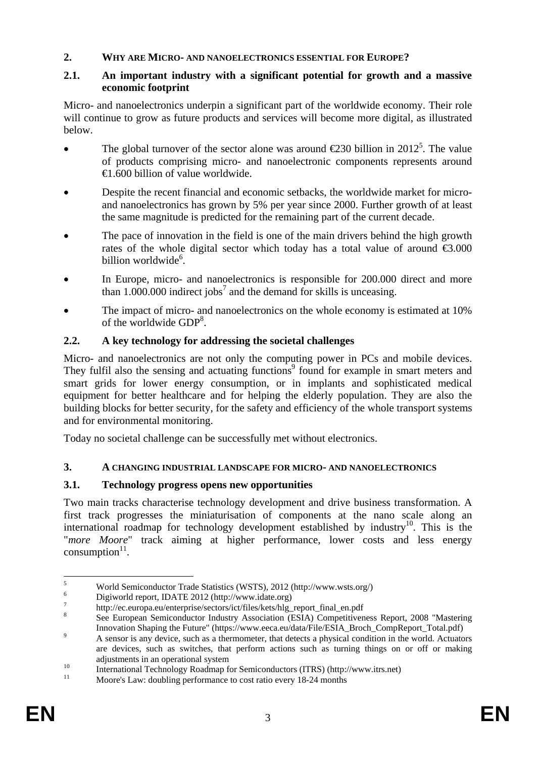### **2. WHY ARE MICRO- AND NANOELECTRONICS ESSENTIAL FOR EUROPE?**

### **2.1. An important industry with a significant potential for growth and a massive economic footprint**

Micro- and nanoelectronics underpin a significant part of the worldwide economy. Their role will continue to grow as future products and services will become more digital, as illustrated below.

- The global turnover of the sector alone was around  $\epsilon$ 230 billion in 2012<sup>5</sup>. The value of products comprising micro- and nanoelectronic components represents around €1.600 billion of value worldwide.
- Despite the recent financial and economic setbacks, the worldwide market for microand nanoelectronics has grown by 5% per year since 2000. Further growth of at least the same magnitude is predicted for the remaining part of the current decade.
- The pace of innovation in the field is one of the main drivers behind the high growth rates of the whole digital sector which today has a total value of around  $\epsilon$ 3.000 billion worldwide<sup>6</sup>.
- In Europe, micro- and nanoelectronics is responsible for 200.000 direct and more than  $1.000.000$  indirect jobs<sup>7</sup> and the demand for skills is unceasing.
- The impact of micro- and nanoelectronics on the whole economy is estimated at 10% of the worldwide  $GDP<sup>8</sup>$ .

# **2.2. A key technology for addressing the societal challenges**

Micro- and nanoelectronics are not only the computing power in PCs and mobile devices. They fulfil also the sensing and actuating functions<sup>9</sup> found for example in smart meters and smart grids for lower energy consumption, or in implants and sophisticated medical equipment for better healthcare and for helping the elderly population. They are also the building blocks for better security, for the safety and efficiency of the whole transport systems and for environmental monitoring.

Today no societal challenge can be successfully met without electronics.

### **3. A CHANGING INDUSTRIAL LANDSCAPE FOR MICRO- AND NANOELECTRONICS**

### **3.1. Technology progress opens new opportunities**

Two main tracks characterise technology development and drive business transformation. A first track progresses the miniaturisation of components at the nano scale along an international roadmap for technology development established by industry<sup>10</sup>. This is the "*more Moore*" track aiming at higher performance, lower costs and less energy  $\text{consumption}^{11}$ .

 $\frac{1}{5}$ World Semiconductor Trade Statistics (WSTS), 2012 (http://www.wsts.org/)

<sup>6</sup> Digiworld report, IDATE 2012 (http://www.idate.org)

<sup>7</sup> http://ec.europa.eu/enterprise/sectors/ict/files/kets/hlg\_report\_final\_en.pdf

See European Semiconductor Industry Association (ESIA) Competitiveness Report, 2008 "Mastering Innovation Shaping the Future" (https://www.eeca.eu/data/File/ESIA\_Broch\_CompReport\_Total.pdf) 9

A sensor is any device, such as a thermometer, that detects a physical condition in the world. Actuators are devices, such as switches, that perform actions such as turning things on or off or making

adjustments in an operational system<br>
10 International Technology Roadmap for Semiconductors (ITRS) (http://www.itrs.net)<br>
11 Moore's Law: doubling performance to cost ratio every 18-24 months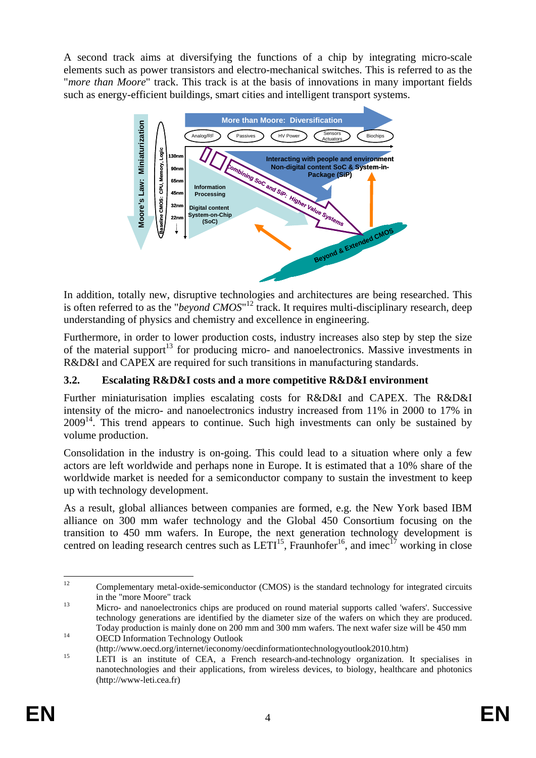A second track aims at diversifying the functions of a chip by integrating micro-scale elements such as power transistors and electro-mechanical switches. This is referred to as the "*more than Moore*" track. This track is at the basis of innovations in many important fields such as energy-efficient buildings, smart cities and intelligent transport systems.



In addition, totally new, disruptive technologies and architectures are being researched. This is often referred to as the "*beyond CMOS*<sup>"12</sup> track. It requires multi-disciplinary research, deep understanding of physics and chemistry and excellence in engineering.

Furthermore, in order to lower production costs, industry increases also step by step the size of the material support<sup>13</sup> for producing micro- and nanoelectronics. Massive investments in R&D&I and CAPEX are required for such transitions in manufacturing standards.

# **3.2. Escalating R&D&I costs and a more competitive R&D&I environment**

Further miniaturisation implies escalating costs for R&D&I and CAPEX. The R&D&I intensity of the micro- and nanoelectronics industry increased from 11% in 2000 to 17% in  $2009<sup>14</sup>$ . This trend appears to continue. Such high investments can only be sustained by volume production.

Consolidation in the industry is on-going. This could lead to a situation where only a few actors are left worldwide and perhaps none in Europe. It is estimated that a 10% share of the worldwide market is needed for a semiconductor company to sustain the investment to keep up with technology development.

As a result, global alliances between companies are formed, e.g. the New York based IBM alliance on 300 mm wafer technology and the Global 450 Consortium focusing on the transition to 450 mm wafers. In Europe, the next generation technology development is centred on leading research centres such as  $LETI<sup>15</sup>$ , Fraunhofer<sup>16</sup>, and imec<sup>17</sup> working in close

<sup>12</sup> 12 Complementary metal-oxide-semiconductor (CMOS) is the standard technology for integrated circuits in the "more Moore" track 13 Micro- and nanoelectronics chips are produced on round material supports called 'wafers'. Successive

technology generations are identified by the diameter size of the wafers on which they are produced. Today production is mainly done on 200 mm and 300 mm wafers. The next wafer size will be 450 mm 14 OECD Information Technology Outlook

<sup>(</sup>http://www.oecd.org/internet/ieconomy/oecdinformationtechnologyoutlook2010.htm) 15 LETI is an institute of CEA, a French research-and-technology organization. It specialises in nanotechnologies and their applications, from wireless devices, to biology, healthcare and photonics (http://www-leti.cea.fr)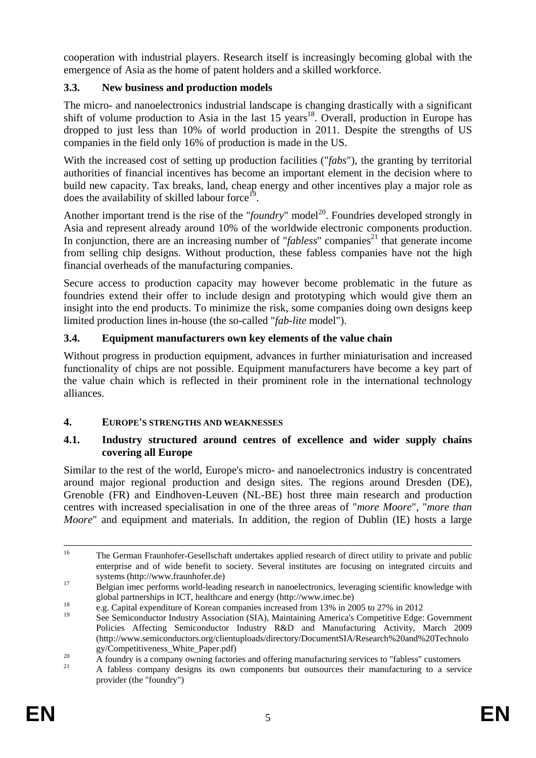cooperation with industrial players. Research itself is increasingly becoming global with the emergence of Asia as the home of patent holders and a skilled workforce.

# **3.3. New business and production models**

The micro- and nanoelectronics industrial landscape is changing drastically with a significant shift of volume production to Asia in the last  $15$  years<sup>18</sup>. Overall, production in Europe has dropped to just less than 10% of world production in 2011. Despite the strengths of US companies in the field only 16% of production is made in the US.

With the increased cost of setting up production facilities ("*fabs*"), the granting by territorial authorities of financial incentives has become an important element in the decision where to build new capacity. Tax breaks, land, cheap energy and other incentives play a major role as does the availability of skilled labour force<sup>19</sup>.

Another important trend is the rise of the "*foundry*" model<sup>20</sup>. Foundries developed strongly in Asia and represent already around 10% of the worldwide electronic components production. In conjunction, there are an increasing number of "*fabless*" companies<sup>21</sup> that generate income from selling chip designs. Without production, these fabless companies have not the high financial overheads of the manufacturing companies.

Secure access to production capacity may however become problematic in the future as foundries extend their offer to include design and prototyping which would give them an insight into the end products. To minimize the risk, some companies doing own designs keep limited production lines in-house (the so-called "*fab-lite* model").

### **3.4. Equipment manufacturers own key elements of the value chain**

Without progress in production equipment, advances in further miniaturisation and increased functionality of chips are not possible. Equipment manufacturers have become a key part of the value chain which is reflected in their prominent role in the international technology alliances.

### **4. EUROPE'S STRENGTHS AND WEAKNESSES**

#### **4.1. Industry structured around centres of excellence and wider supply chains covering all Europe**

Similar to the rest of the world, Europe's micro- and nanoelectronics industry is concentrated around major regional production and design sites. The regions around Dresden (DE), Grenoble (FR) and Eindhoven-Leuven (NL-BE) host three main research and production centres with increased specialisation in one of the three areas of "*more Moore*", "*more than Moore*" and equipment and materials. In addition, the region of Dublin (IE) hosts a large

<sup>&</sup>lt;sup>16</sup> The German Fraunhofer-Gesellschaft undertakes applied research of direct utility to private and public enterprise and of wide benefit to society. Several institutes are focusing on integrated circuits and systems (http://www.fraunhofer.de)<br>Belgian imec performs world-leading research in nanoelectronics, leveraging scientific knowledge with

global partnerships in ICT, healthcare and energy (http://www.imec.be)<br>
e.g. Capital expenditure of Korean companies increased from 13% in 2005 to 27% in 2012

See Semiconductor Industry Association (SIA), Maintaining America's Competitive Edge: Government Policies Affecting Semiconductor Industry R&D and Manufacturing Activity, March 2009 (http://www.semiconductors.org/clientuploads/directory/DocumentSIA/Research%20and%20Technolo

gy/Competitiveness\_White\_Paper.pdf)<br>
A foundry is a company owning factories and offering manufacturing services to "fabless" customers

<sup>21</sup> A fabless company designs its own components but outsources their manufacturing to a service provider (the "foundry")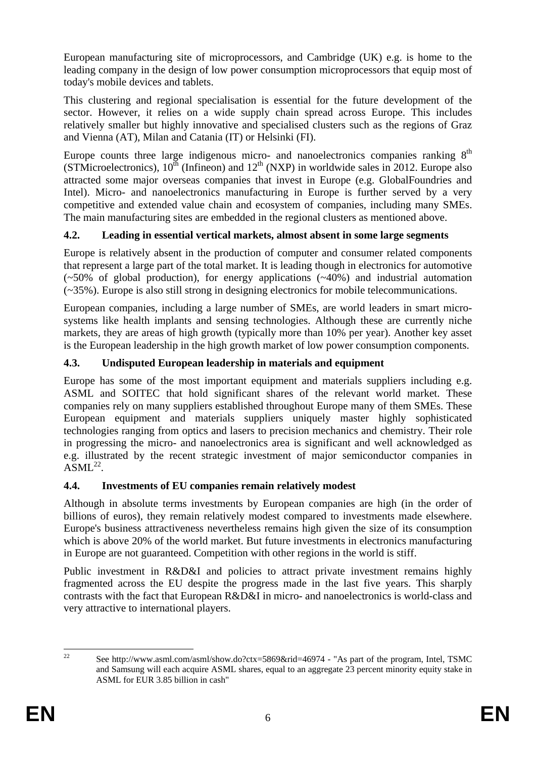European manufacturing site of microprocessors, and Cambridge (UK) e.g. is home to the leading company in the design of low power consumption microprocessors that equip most of today's mobile devices and tablets.

This clustering and regional specialisation is essential for the future development of the sector. However, it relies on a wide supply chain spread across Europe. This includes relatively smaller but highly innovative and specialised clusters such as the regions of Graz and Vienna (AT), Milan and Catania (IT) or Helsinki (FI).

Europe counts three large indigenous micro- and nanoelectronics companies ranking 8<sup>th</sup> (STMicroelectronics),  $10^{th}$  (Infineon) and  $12^{th}$  (NXP) in worldwide sales in 2012. Europe also attracted some major overseas companies that invest in Europe (e.g. GlobalFoundries and Intel). Micro- and nanoelectronics manufacturing in Europe is further served by a very competitive and extended value chain and ecosystem of companies, including many SMEs. The main manufacturing sites are embedded in the regional clusters as mentioned above.

# **4.2. Leading in essential vertical markets, almost absent in some large segments**

Europe is relatively absent in the production of computer and consumer related components that represent a large part of the total market. It is leading though in electronics for automotive  $(\sim 50\%$  of global production), for energy applications  $(\sim 40\%)$  and industrial automation (~35%). Europe is also still strong in designing electronics for mobile telecommunications.

European companies, including a large number of SMEs, are world leaders in smart microsystems like health implants and sensing technologies. Although these are currently niche markets, they are areas of high growth (typically more than 10% per year). Another key asset is the European leadership in the high growth market of low power consumption components.

# **4.3. Undisputed European leadership in materials and equipment**

Europe has some of the most important equipment and materials suppliers including e.g. ASML and SOITEC that hold significant shares of the relevant world market. These companies rely on many suppliers established throughout Europe many of them SMEs. These European equipment and materials suppliers uniquely master highly sophisticated technologies ranging from optics and lasers to precision mechanics and chemistry. Their role in progressing the micro- and nanoelectronics area is significant and well acknowledged as e.g. illustrated by the recent strategic investment of major semiconductor companies in  $\overline{\text{ASML}}^{22}$ .

# **4.4. Investments of EU companies remain relatively modest**

Although in absolute terms investments by European companies are high (in the order of billions of euros), they remain relatively modest compared to investments made elsewhere. Europe's business attractiveness nevertheless remains high given the size of its consumption which is above 20% of the world market. But future investments in electronics manufacturing in Europe are not guaranteed. Competition with other regions in the world is stiff.

Public investment in R&D&I and policies to attract private investment remains highly fragmented across the EU despite the progress made in the last five years. This sharply contrasts with the fact that European R&D&I in micro- and nanoelectronics is world-class and very attractive to international players.

 $\overline{22}$ 

<sup>22</sup> See http://www.asml.com/asml/show.do?ctx=5869&rid=46974 - "As part of the program, Intel, TSMC and Samsung will each acquire ASML shares, equal to an aggregate 23 percent minority equity stake in ASML for EUR 3.85 billion in cash"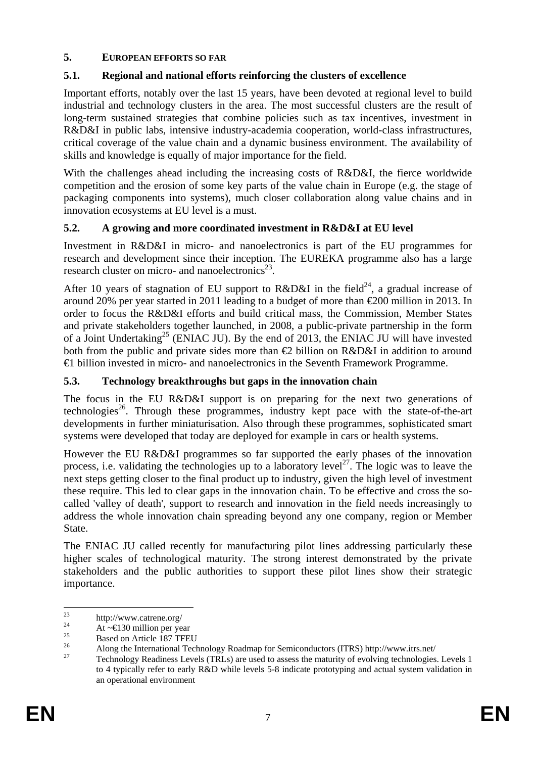### **5. EUROPEAN EFFORTS SO FAR**

### **5.1. Regional and national efforts reinforcing the clusters of excellence**

Important efforts, notably over the last 15 years, have been devoted at regional level to build industrial and technology clusters in the area. The most successful clusters are the result of long-term sustained strategies that combine policies such as tax incentives, investment in R&D&I in public labs, intensive industry-academia cooperation, world-class infrastructures, critical coverage of the value chain and a dynamic business environment. The availability of skills and knowledge is equally of major importance for the field.

With the challenges ahead including the increasing costs of R&D&I, the fierce worldwide competition and the erosion of some key parts of the value chain in Europe (e.g. the stage of packaging components into systems), much closer collaboration along value chains and in innovation ecosystems at EU level is a must.

#### **5.2. A growing and more coordinated investment in R&D&I at EU level**

Investment in R&D&I in micro- and nanoelectronics is part of the EU programmes for research and development since their inception. The EUREKA programme also has a large research cluster on micro- and nanoelectronics<sup>23</sup>.

After 10 years of stagnation of EU support to R&D&I in the field<sup>24</sup>, a gradual increase of around 20% per year started in 2011 leading to a budget of more than €200 million in 2013. In order to focus the R&D&I efforts and build critical mass, the Commission, Member States and private stakeholders together launched, in 2008, a public-private partnership in the form of a Joint Undertaking<sup>25</sup> (ENIAC JU). By the end of 2013, the ENIAC JU will have invested both from the public and private sides more than  $\bigoplus$  billion on R&D&I in addition to around €1 billion invested in micro- and nanoelectronics in the Seventh Framework Programme.

### **5.3. Technology breakthroughs but gaps in the innovation chain**

The focus in the EU R&D&I support is on preparing for the next two generations of technologies<sup>26</sup>. Through these programmes, industry kept pace with the state-of-the-art developments in further miniaturisation. Also through these programmes, sophisticated smart systems were developed that today are deployed for example in cars or health systems.

However the EU R&D&I programmes so far supported the early phases of the innovation process, i.e. validating the technologies up to a laboratory level<sup>27</sup>. The logic was to leave the next steps getting closer to the final product up to industry, given the high level of investment these require. This led to clear gaps in the innovation chain. To be effective and cross the socalled 'valley of death', support to research and innovation in the field needs increasingly to address the whole innovation chain spreading beyond any one company, region or Member State.

The ENIAC JU called recently for manufacturing pilot lines addressing particularly these higher scales of technological maturity. The strong interest demonstrated by the private stakeholders and the public authorities to support these pilot lines show their strategic importance.

<sup>23</sup>  $\frac{23}{24}$  http://www.catrene.org/

<sup>&</sup>lt;sup>24</sup> At ~**€**130 million per year

 $^{25}$  Based on Article 187 TFEU

<sup>&</sup>lt;sup>26</sup> Along the International Technology Roadmap for Semiconductors (ITRS) http://www.itrs.net/<br><sup>27</sup> Technology Readiness Levels (TRLs) are used to assess the maturity of evolving technologies. Levels 1 to 4 typically refer to early R&D while levels 5-8 indicate prototyping and actual system validation in an operational environment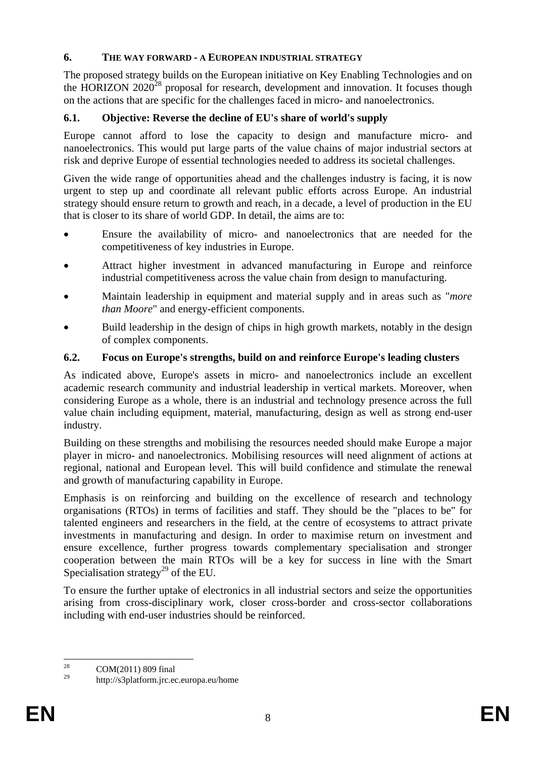### **6. THE WAY FORWARD - A EUROPEAN INDUSTRIAL STRATEGY**

The proposed strategy builds on the European initiative on Key Enabling Technologies and on the HORIZON  $2020^{28}$  proposal for research, development and innovation. It focuses though on the actions that are specific for the challenges faced in micro- and nanoelectronics.

# **6.1. Objective: Reverse the decline of EU's share of world's supply**

Europe cannot afford to lose the capacity to design and manufacture micro- and nanoelectronics. This would put large parts of the value chains of major industrial sectors at risk and deprive Europe of essential technologies needed to address its societal challenges.

Given the wide range of opportunities ahead and the challenges industry is facing, it is now urgent to step up and coordinate all relevant public efforts across Europe. An industrial strategy should ensure return to growth and reach, in a decade, a level of production in the EU that is closer to its share of world GDP. In detail, the aims are to:

- Ensure the availability of micro- and nanoelectronics that are needed for the competitiveness of key industries in Europe.
- Attract higher investment in advanced manufacturing in Europe and reinforce industrial competitiveness across the value chain from design to manufacturing.
- Maintain leadership in equipment and material supply and in areas such as "*more than Moore*" and energy-efficient components.
- Build leadership in the design of chips in high growth markets, notably in the design of complex components.

# **6.2. Focus on Europe's strengths, build on and reinforce Europe's leading clusters**

As indicated above, Europe's assets in micro- and nanoelectronics include an excellent academic research community and industrial leadership in vertical markets. Moreover, when considering Europe as a whole, there is an industrial and technology presence across the full value chain including equipment, material, manufacturing, design as well as strong end-user industry.

Building on these strengths and mobilising the resources needed should make Europe a major player in micro- and nanoelectronics. Mobilising resources will need alignment of actions at regional, national and European level. This will build confidence and stimulate the renewal and growth of manufacturing capability in Europe.

Emphasis is on reinforcing and building on the excellence of research and technology organisations (RTOs) in terms of facilities and staff. They should be the "places to be" for talented engineers and researchers in the field, at the centre of ecosystems to attract private investments in manufacturing and design. In order to maximise return on investment and ensure excellence, further progress towards complementary specialisation and stronger cooperation between the main RTOs will be a key for success in line with the Smart Specialisation strategy<sup>29</sup> of the EU.

To ensure the further uptake of electronics in all industrial sectors and seize the opportunities arising from cross-disciplinary work, closer cross-border and cross-sector collaborations including with end-user industries should be reinforced.

 $28$  $\frac{28}{29}$  COM(2011) 809 final

http://s3platform.jrc.ec.europa.eu/home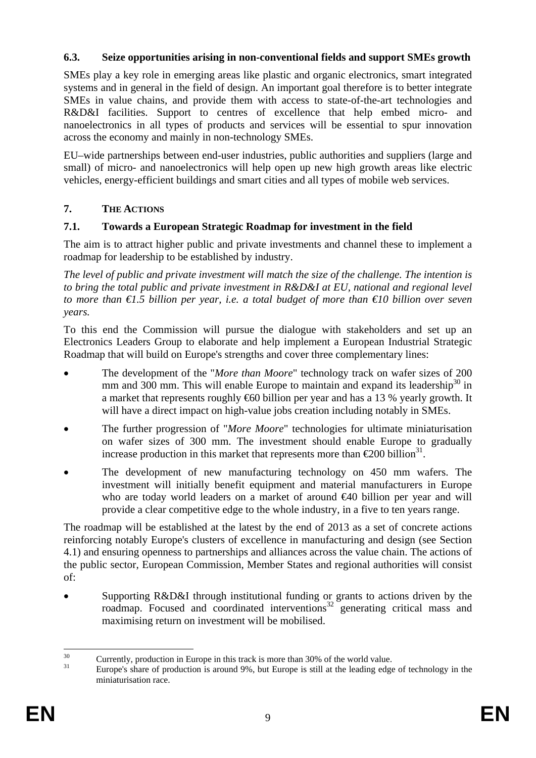### **6.3. Seize opportunities arising in non-conventional fields and support SMEs growth**

SMEs play a key role in emerging areas like plastic and organic electronics, smart integrated systems and in general in the field of design. An important goal therefore is to better integrate SMEs in value chains, and provide them with access to state-of-the-art technologies and R&D&I facilities. Support to centres of excellence that help embed micro- and nanoelectronics in all types of products and services will be essential to spur innovation across the economy and mainly in non-technology SMEs.

EU–wide partnerships between end-user industries, public authorities and suppliers (large and small) of micro- and nanoelectronics will help open up new high growth areas like electric vehicles, energy-efficient buildings and smart cities and all types of mobile web services.

### **7. THE ACTIONS**

#### **7.1. Towards a European Strategic Roadmap for investment in the field**

The aim is to attract higher public and private investments and channel these to implement a roadmap for leadership to be established by industry.

*The level of public and private investment will match the size of the challenge. The intention is to bring the total public and private investment in R&D&I at EU, national and regional level to more than €1.5 billion per year, i.e. a total budget of more than €10 billion over seven years.* 

To this end the Commission will pursue the dialogue with stakeholders and set up an Electronics Leaders Group to elaborate and help implement a European Industrial Strategic Roadmap that will build on Europe's strengths and cover three complementary lines:

- The development of the "*More than Moore*" technology track on wafer sizes of 200 mm and 300 mm. This will enable Europe to maintain and expand its leadership<sup>30</sup> in a market that represents roughly €60 billion per year and has a 13 % yearly growth. It will have a direct impact on high-value jobs creation including notably in SMEs.
- The further progression of "*More Moore*" technologies for ultimate miniaturisation on wafer sizes of 300 mm. The investment should enable Europe to gradually increase production in this market that represents more than  $\epsilon 200$  billion<sup>31</sup>.
- The development of new manufacturing technology on 450 mm wafers. The investment will initially benefit equipment and material manufacturers in Europe who are today world leaders on a market of around €40 billion per year and will provide a clear competitive edge to the whole industry, in a five to ten years range.

The roadmap will be established at the latest by the end of 2013 as a set of concrete actions reinforcing notably Europe's clusters of excellence in manufacturing and design (see Section 4.1) and ensuring openness to partnerships and alliances across the value chain. The actions of the public sector, European Commission, Member States and regional authorities will consist of:

Supporting R&D&I through institutional funding or grants to actions driven by the roadmap. Focused and coordinated interventions<sup>32</sup> generating critical mass and maximising return on investment will be mobilised.

 $30^{\circ}$ <sup>30</sup> Currently, production in Europe in this track is more than 30% of the world value.

Europe's share of production is around 9%, but Europe is still at the leading edge of technology in the miniaturisation race.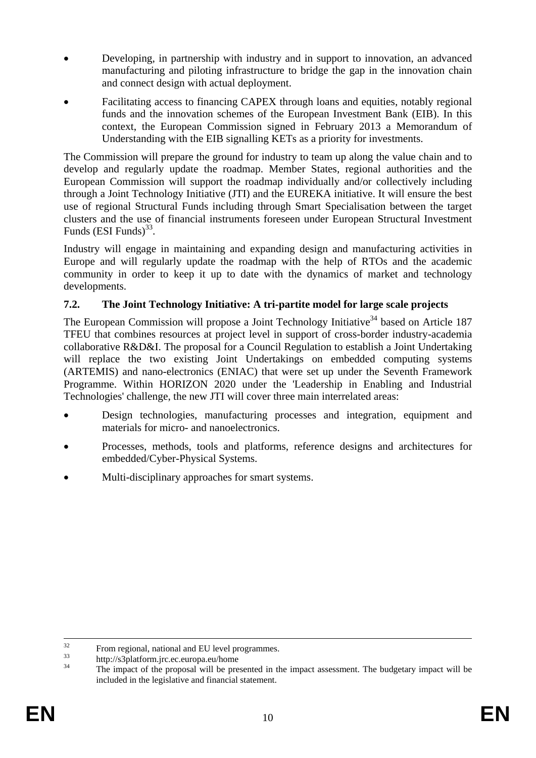- Developing, in partnership with industry and in support to innovation, an advanced manufacturing and piloting infrastructure to bridge the gap in the innovation chain and connect design with actual deployment.
- Facilitating access to financing CAPEX through loans and equities, notably regional funds and the innovation schemes of the European Investment Bank (EIB). In this context, the European Commission signed in February 2013 a Memorandum of Understanding with the EIB signalling KETs as a priority for investments.

The Commission will prepare the ground for industry to team up along the value chain and to develop and regularly update the roadmap. Member States, regional authorities and the European Commission will support the roadmap individually and/or collectively including through a Joint Technology Initiative (JTI) and the EUREKA initiative. It will ensure the best use of regional Structural Funds including through Smart Specialisation between the target clusters and the use of financial instruments foreseen under European Structural Investment Funds (ESI Funds) $^{33}$ .

Industry will engage in maintaining and expanding design and manufacturing activities in Europe and will regularly update the roadmap with the help of RTOs and the academic community in order to keep it up to date with the dynamics of market and technology developments.

### **7.2. The Joint Technology Initiative: A tri-partite model for large scale projects**

The European Commission will propose a Joint Technology Initiative<sup>34</sup> based on Article 187 TFEU that combines resources at project level in support of cross-border industry-academia collaborative R&D&I. The proposal for a Council Regulation to establish a Joint Undertaking will replace the two existing Joint Undertakings on embedded computing systems (ARTEMIS) and nano-electronics (ENIAC) that were set up under the Seventh Framework Programme. Within HORIZON 2020 under the 'Leadership in Enabling and Industrial Technologies' challenge, the new JTI will cover three main interrelated areas:

- Design technologies, manufacturing processes and integration, equipment and materials for micro- and nanoelectronics.
- Processes, methods, tools and platforms, reference designs and architectures for embedded/Cyber-Physical Systems.
- Multi-disciplinary approaches for smart systems.

 $\frac{32}{33}$  From regional, national and EU level programmes.

 $\frac{33}{34}$  http://s3platform.jrc.ec.europa.eu/home

The impact of the proposal will be presented in the impact assessment. The budgetary impact will be included in the legislative and financial statement.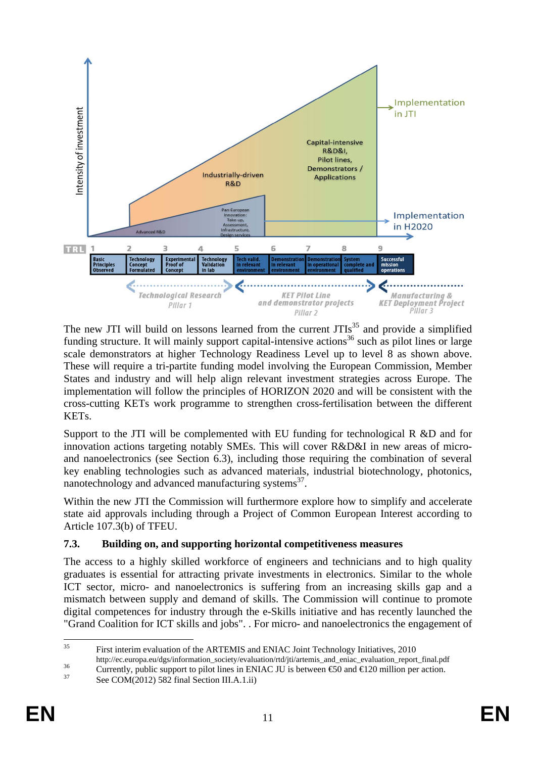

The new JTI will build on lessons learned from the current  $JTIs<sup>35</sup>$  and provide a simplified funding structure. It will mainly support capital-intensive actions<sup>36</sup> such as pilot lines or large scale demonstrators at higher Technology Readiness Level up to level 8 as shown above. These will require a tri-partite funding model involving the European Commission, Member States and industry and will help align relevant investment strategies across Europe. The implementation will follow the principles of HORIZON 2020 and will be consistent with the cross-cutting KETs work programme to strengthen cross-fertilisation between the different KETs.

Support to the JTI will be complemented with EU funding for technological R &D and for innovation actions targeting notably SMEs. This will cover R&D&I in new areas of microand nanoelectronics (see Section 6.3), including those requiring the combination of several key enabling technologies such as advanced materials, industrial biotechnology, photonics, nanotechnology and advanced manufacturing systems<sup>37</sup>.

Within the new JTI the Commission will furthermore explore how to simplify and accelerate state aid approvals including through a Project of Common European Interest according to Article 107.3(b) of TFEU.

# **7.3. Building on, and supporting horizontal competitiveness measures**

The access to a highly skilled workforce of engineers and technicians and to high quality graduates is essential for attracting private investments in electronics. Similar to the whole ICT sector, micro- and nanoelectronics is suffering from an increasing skills gap and a mismatch between supply and demand of skills. The Commission will continue to promote digital competences for industry through the e-Skills initiative and has recently launched the "Grand Coalition for ICT skills and jobs". . For micro- and nanoelectronics the engagement of

<sup>35</sup> 35 First interim evaluation of the ARTEMIS and ENIAC Joint Technology Initiatives, 2010

http://ec.europa.eu/dgs/information\_society/evaluation/rtd/jti/artemis\_and\_eniac\_evaluation\_report\_final.pdf<br>
37 Currently, public support to pilot lines in ENIAC JU is between €50 and €120 million per action.

See COM(2012) 582 final Section III.A.1.ii)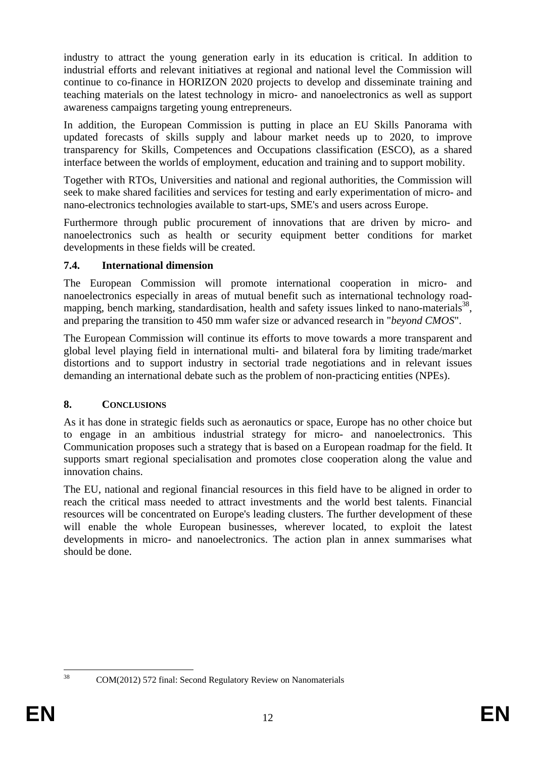industry to attract the young generation early in its education is critical. In addition to industrial efforts and relevant initiatives at regional and national level the Commission will continue to co-finance in HORIZON 2020 projects to develop and disseminate training and teaching materials on the latest technology in micro- and nanoelectronics as well as support awareness campaigns targeting young entrepreneurs.

In addition, the European Commission is putting in place an EU Skills Panorama with updated forecasts of skills supply and labour market needs up to 2020, to improve transparency for Skills, Competences and Occupations classification (ESCO), as a shared interface between the worlds of employment, education and training and to support mobility.

Together with RTOs, Universities and national and regional authorities, the Commission will seek to make shared facilities and services for testing and early experimentation of micro- and nano-electronics technologies available to start-ups, SME's and users across Europe.

Furthermore through public procurement of innovations that are driven by micro- and nanoelectronics such as health or security equipment better conditions for market developments in these fields will be created.

### **7.4. International dimension**

The European Commission will promote international cooperation in micro- and nanoelectronics especially in areas of mutual benefit such as international technology roadmapping, bench marking, standardisation, health and safety issues linked to nano-materials<sup>38</sup>, and preparing the transition to 450 mm wafer size or advanced research in "*beyond CMOS*".

The European Commission will continue its efforts to move towards a more transparent and global level playing field in international multi- and bilateral fora by limiting trade/market distortions and to support industry in sectorial trade negotiations and in relevant issues demanding an international debate such as the problem of non-practicing entities (NPEs).

# **8. CONCLUSIONS**

As it has done in strategic fields such as aeronautics or space, Europe has no other choice but to engage in an ambitious industrial strategy for micro- and nanoelectronics. This Communication proposes such a strategy that is based on a European roadmap for the field. It supports smart regional specialisation and promotes close cooperation along the value and innovation chains.

The EU, national and regional financial resources in this field have to be aligned in order to reach the critical mass needed to attract investments and the world best talents. Financial resources will be concentrated on Europe's leading clusters. The further development of these will enable the whole European businesses, wherever located, to exploit the latest developments in micro- and nanoelectronics. The action plan in annex summarises what should be done.

<sup>38</sup> 

<sup>38</sup> COM(2012) 572 final: Second Regulatory Review on Nanomaterials